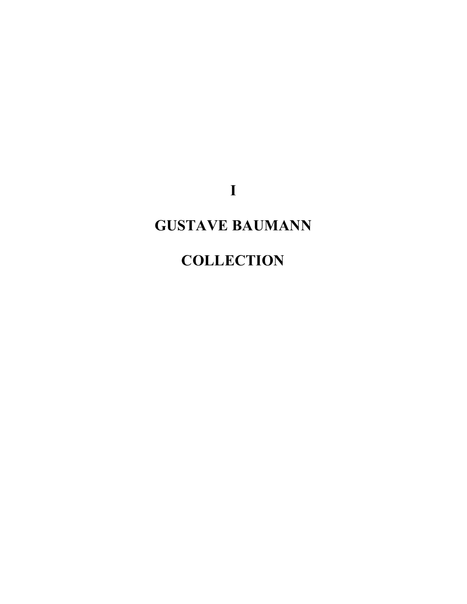**I**

# **GUSTAVE BAUMANN**

## **COLLECTION**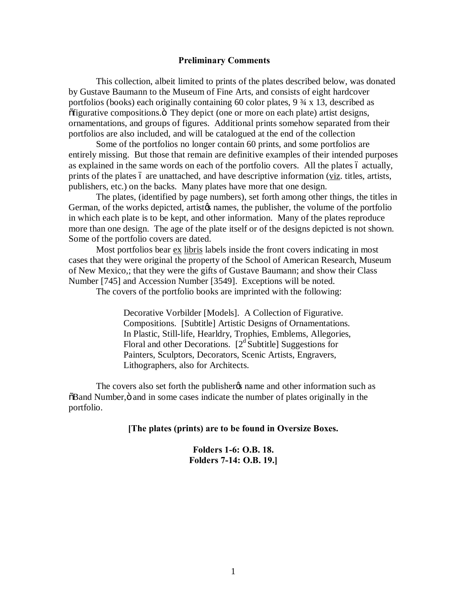#### **Preliminary Comments**

This collection, albeit limited to prints of the plates described below, was donated by Gustave Baumann to the Museum of Fine Arts, and consists of eight hardcover portfolios (books) each originally containing 60 color plates, 9 ¾ x 13, described as  $\delta$ figurative compositions. $\ddot{o}$  They depict (one or more on each plate) artist designs, ornamentations, and groups of figures. Additional prints somehow separated from their portfolios are also included, and will be catalogued at the end of the collection

Some of the portfolios no longer contain 60 prints, and some portfolios are entirely missing. But those that remain are definitive examples of their intended purposes as explained in the same words on each of the portfolio covers. All the plates 6 actually, prints of the plates 6 are unattached, and have descriptive information (viz. titles, artists, publishers, etc.) on the backs. Many plates have more that one design.

The plates, (identified by page numbers), set forth among other things, the titles in German, of the works depicted, artistos names, the publisher, the volume of the portfolio in which each plate is to be kept, and other information. Many of the plates reproduce more than one design. The age of the plate itself or of the designs depicted is not shown. Some of the portfolio covers are dated.

Most portfolios bear ex libris labels inside the front covers indicating in most cases that they were original the property of the School of American Research, Museum of New Mexico,; that they were the gifts of Gustave Baumann; and show their Class Number [745] and Accession Number [3549]. Exceptions will be noted.

The covers of the portfolio books are imprinted with the following:

Decorative Vorbilder [Models]. A Collection of Figurative. Compositions. [Subtitle] Artistic Designs of Ornamentations. In Plastic, Still-life, Hearldry, Trophies, Emblems, Allegories, Floral and other Decorations.  $[2^d$  Subtitle] Suggestions for Painters, Sculptors, Decorators, Scenic Artists, Engravers, Lithographers, also for Architects.

The covers also set forth the publisher *p*s name and other information such as  $\delta$ Band Number,  $\ddot{\text{o}}$  and in some cases indicate the number of plates originally in the portfolio.

#### **[The plates (prints) are to be found in Oversize Boxes.**

**Folders 1-6: O.B. 18. Folders 7-14: O.B. 19.]**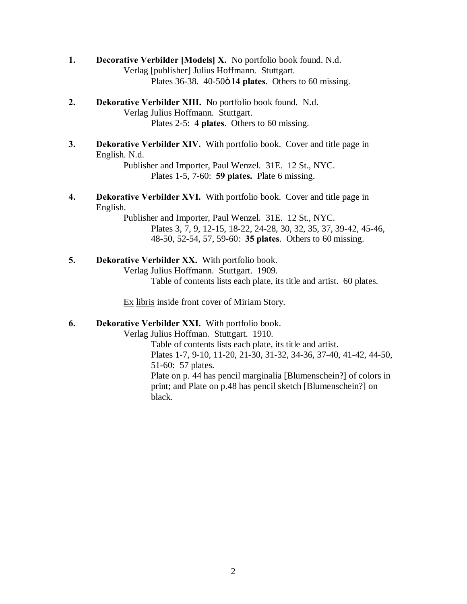- **1. Decorative Verbilder [Models] X.** No portfolio book found. N.d. Verlag [publisher] Julius Hoffmann. Stuttgart. Plates 36-38. 40-50ö 14 plates. Others to 60 missing.
- **2. Dekorative Verbilder XIII.** No portfolio book found. N.d. Verlag Julius Hoffmann. Stuttgart. Plates 2-5: **4 plates**. Others to 60 missing.
- **3. Dekorative Verbilder XIV.** With portfolio book. Cover and title page in English. N.d.

Publisher and Importer, Paul Wenzel. 31E. 12 St., NYC. Plates 1-5, 7-60: **59 plates.** Plate 6 missing.

**4. Dekorative Verbilder XVI.** With portfolio book. Cover and title page in English.

> Publisher and Importer, Paul Wenzel. 31E. 12 St., NYC. Plates 3, 7, 9, 12-15, 18-22, 24-28, 30, 32, 35, 37, 39-42, 45-46, 48-50, 52-54, 57, 59-60: **35 plates**. Others to 60 missing.

**5. Dekorative Verbilder XX.** With portfolio book.

Verlag Julius Hoffmann. Stuttgart. 1909.

Table of contents lists each plate, its title and artist. 60 plates.

Ex libris inside front cover of Miriam Story.

### **6. Dekorative Verbilder XXI.** With portfolio book.

Verlag Julius Hoffman. Stuttgart. 1910.

Table of contents lists each plate, its title and artist. Plates 1-7, 9-10, 11-20, 21-30, 31-32, 34-36, 37-40, 41-42, 44-50, 51-60: 57 plates. Plate on p. 44 has pencil marginalia [Blumenschein?] of colors in print; and Plate on p.48 has pencil sketch [Blumenschein?] on black.